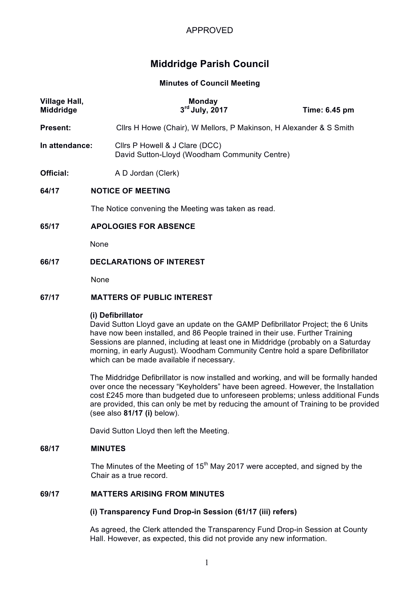# APPROVED

# **Middridge Parish Council**

#### **Minutes of Council Meeting**

| Village Hall,<br><b>Middridge</b> |                                                     | <b>Monday</b><br>$3rd$ July, 2017                                                                                                                                                      | Time: 6.45 pm |  |
|-----------------------------------|-----------------------------------------------------|----------------------------------------------------------------------------------------------------------------------------------------------------------------------------------------|---------------|--|
| Present:                          |                                                     | Cllrs H Howe (Chair), W Mellors, P Makinson, H Alexander & S Smith                                                                                                                     |               |  |
| In attendance:                    |                                                     | Cllrs P Howell & J Clare (DCC)<br>David Sutton-Lloyd (Woodham Community Centre)                                                                                                        |               |  |
| Official:                         |                                                     | A D Jordan (Clerk)                                                                                                                                                                     |               |  |
| 64/17                             | <b>NOTICE OF MEETING</b>                            |                                                                                                                                                                                        |               |  |
|                                   | The Notice convening the Meeting was taken as read. |                                                                                                                                                                                        |               |  |
| 65/17                             | <b>APOLOGIES FOR ABSENCE</b>                        |                                                                                                                                                                                        |               |  |
|                                   | None                                                |                                                                                                                                                                                        |               |  |
| 66/17                             | <b>DECLARATIONS OF INTEREST</b>                     |                                                                                                                                                                                        |               |  |
|                                   | None                                                |                                                                                                                                                                                        |               |  |
| 67/17                             | <b>MATTERS OF PUBLIC INTEREST</b>                   |                                                                                                                                                                                        |               |  |
|                                   |                                                     | (i) Defibrillator<br>David Sutton Lloyd gave an update on the GAMP Defibrillator Project; the 6 Units<br>have now been installed, and 86 People trained in their use. Further Training |               |  |

have now been installed, and 86 People trained in their use. Further Training Sessions are planned, including at least one in Middridge (probably on a Saturday morning, in early August). Woodham Community Centre hold a spare Defibrillator which can be made available if necessary.

The Middridge Defibrillator is now installed and working, and will be formally handed over once the necessary "Keyholders" have been agreed. However, the Installation cost £245 more than budgeted due to unforeseen problems; unless additional Funds are provided, this can only be met by reducing the amount of Training to be provided (see also **81/17 (i)** below).

David Sutton Lloyd then left the Meeting.

#### **68/17 MINUTES**

The Minutes of the Meeting of 15<sup>th</sup> May 2017 were accepted, and signed by the Chair as a true record.

## **69/17 MATTERS ARISING FROM MINUTES**

## **(i) Transparency Fund Drop-in Session (61/17 (iii) refers)**

As agreed, the Clerk attended the Transparency Fund Drop-in Session at County Hall. However, as expected, this did not provide any new information.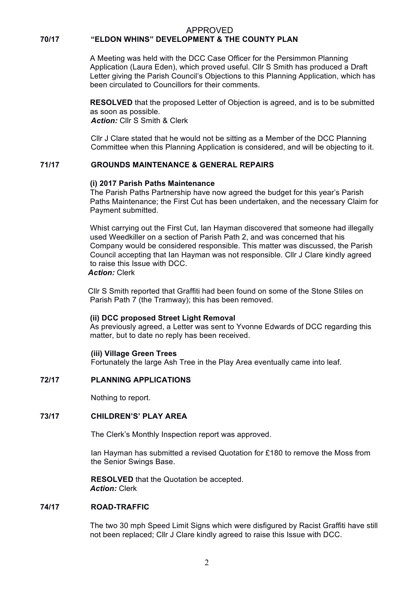#### APPROVED **70/17 "ELDON WHINS" DEVELOPMENT & THE COUNTY PLAN**

A Meeting was held with the DCC Case Officer for the Persimmon Planning Application (Laura Eden), which proved useful. Cllr S Smith has produced a Draft Letter giving the Parish Council's Objections to this Planning Application, which has been circulated to Councillors for their comments.

**RESOLVED** that the proposed Letter of Objection is agreed, and is to be submitted as soon as possible.

*Action:* Cllr S Smith & Clerk

Cllr J Clare stated that he would not be sitting as a Member of the DCC Planning Committee when this Planning Application is considered, and will be objecting to it.

## **71/17 GROUNDS MAINTENANCE & GENERAL REPAIRS**

#### **(i) 2017 Parish Paths Maintenance**

The Parish Paths Partnership have now agreed the budget for this year's Parish Paths Maintenance; the First Cut has been undertaken, and the necessary Claim for Payment submitted.

Whist carrying out the First Cut, Ian Hayman discovered that someone had illegally used Weedkiller on a section of Parish Path 2, and was concerned that his Company would be considered responsible. This matter was discussed, the Parish Council accepting that Ian Hayman was not responsible. Cllr J Clare kindly agreed to raise this Issue with DCC.

## *Action:* Clerk

Cllr S Smith reported that Graffiti had been found on some of the Stone Stiles on Parish Path 7 (the Tramway); this has been removed.

#### **(ii) DCC proposed Street Light Removal**

As previously agreed, a Letter was sent to Yvonne Edwards of DCC regarding this matter, but to date no reply has been received.

#### **(iii) Village Green Trees**

Fortunately the large Ash Tree in the Play Area eventually came into leaf.

#### **72/17 PLANNING APPLICATIONS**

Nothing to report.

#### **73/17 CHILDREN'S' PLAY AREA**

The Clerk's Monthly Inspection report was approved.

Ian Hayman has submitted a revised Quotation for £180 to remove the Moss from the Senior Swings Base.

**RESOLVED** that the Quotation be accepted. *Action:* Clerk

#### **74/17 ROAD-TRAFFIC**

The two 30 mph Speed Limit Signs which were disfigured by Racist Graffiti have still not been replaced; Cllr J Clare kindly agreed to raise this Issue with DCC.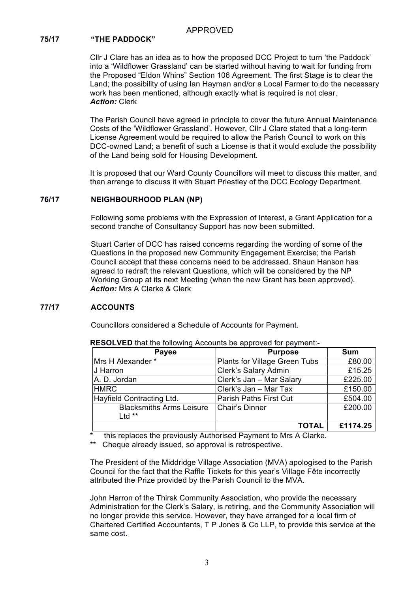## **75/17 "THE PADDOCK"**

Cllr J Clare has an idea as to how the proposed DCC Project to turn 'the Paddock' into a 'Wildflower Grassland' can be started without having to wait for funding from the Proposed "Eldon Whins" Section 106 Agreement. The first Stage is to clear the Land; the possibility of using Ian Hayman and/or a Local Farmer to do the necessary work has been mentioned, although exactly what is required is not clear. *Action:* Clerk

The Parish Council have agreed in principle to cover the future Annual Maintenance Costs of the 'Wildflower Grassland'. However, Cllr J Clare stated that a long-term License Agreement would be required to allow the Parish Council to work on this DCC-owned Land; a benefit of such a License is that it would exclude the possibility of the Land being sold for Housing Development.

It is proposed that our Ward County Councillors will meet to discuss this matter, and then arrange to discuss it with Stuart Priestley of the DCC Ecology Department.

#### **76/17 NEIGHBOURHOOD PLAN (NP)**

Following some problems with the Expression of Interest, a Grant Application for a second tranche of Consultancy Support has now been submitted.

Stuart Carter of DCC has raised concerns regarding the wording of some of the Questions in the proposed new Community Engagement Exercise; the Parish Council accept that these concerns need to be addressed. Shaun Hanson has agreed to redraft the relevant Questions, which will be considered by the NP Working Group at its next Meeting (when the new Grant has been approved). *Action:* Mrs A Clarke & Clerk

## **77/17 ACCOUNTS**

Councillors considered a Schedule of Accounts for Payment.

| Payee                                       | <b>Purpose</b>                | <b>Sum</b> |
|---------------------------------------------|-------------------------------|------------|
| Mrs H Alexander *                           | Plants for Village Green Tubs | £80.00     |
| J Harron                                    | Clerk's Salary Admin          | £15.25     |
| A. D. Jordan                                | Clerk's Jan - Mar Salary      | £225.00    |
| <b>HMRC</b>                                 | Clerk's Jan - Mar Tax         | £150.00    |
| Hayfield Contracting Ltd.                   | <b>Parish Paths First Cut</b> | £504.00    |
| <b>Blacksmiths Arms Leisure</b><br>Ltd $**$ | Chair's Dinner                | £200.00    |
|                                             | <b>TOTAL</b>                  | £1174.25   |

**RESOLVED** that the following Accounts be approved for payment:-

this replaces the previously Authorised Payment to Mrs A Clarke.

Cheque already issued, so approval is retrospective.

The President of the Middridge Village Association (MVA) apologised to the Parish Council for the fact that the Raffle Tickets for this year's Village Fête incorrectly attributed the Prize provided by the Parish Council to the MVA.

John Harron of the Thirsk Community Association, who provide the necessary Administration for the Clerk's Salary, is retiring, and the Community Association will no longer provide this service. However, they have arranged for a local firm of Chartered Certified Accountants, T P Jones & Co LLP, to provide this service at the same cost.